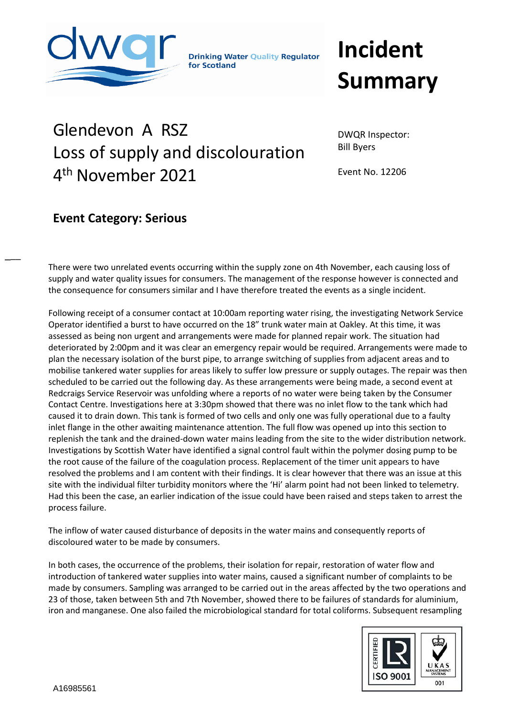

**Drinking Water Quality Regulator** for Scotland

## **Incident Summary**

## Glendevon A RSZ Loss of supply and discolouration 4<sup>th</sup> November 2021

DWQR Inspector: Bill Byers

Event No. 12206

## **Event Category: Serious**

 $\overline{\phantom{a}}$ 

There were two unrelated events occurring within the supply zone on 4th November, each causing loss of supply and water quality issues for consumers. The management of the response however is connected and **Event Category: Significant** the consequence for consumers similar and I have therefore treated the events as a single incident.

Following receipt of a consumer contact at 10:00am reporting water rising, the investigating Network Service Operator identified a burst to have occurred on the 18" trunk water main at Oakley. At this time, it was assessed as being non urgent and arrangements were made for planned repair work. The situation had deteriorated by 2:00pm and it was clear an emergency repair would be required. Arrangements were made to plan the necessary isolation of the burst pipe, to arrange switching of supplies from adjacent areas and to mobilise tankered water supplies for areas likely to suffer low pressure or supply outages. The repair was then scheduled to be carried out the following day. As these arrangements were being made, a second event at Redcraigs Service Reservoir was unfolding where a reports of no water were being taken by the Consumer Contact Centre. Investigations here at 3:30pm showed that there was no inlet flow to the tank which had caused it to drain down. This tank is formed of two cells and only one was fully operational due to a faulty inlet flange in the other awaiting maintenance attention. The full flow was opened up into this section to replenish the tank and the drained-down water mains leading from the site to the wider distribution network. Investigations by Scottish Water have identified a signal control fault within the polymer dosing pump to be the root cause of the failure of the coagulation process. Replacement of the timer unit appears to have resolved the problems and I am content with their findings. It is clear however that there was an issue at this site with the individual filter turbidity monitors where the 'Hi' alarm point had not been linked to telemetry. Had this been the case, an earlier indication of the issue could have been raised and steps taken to arrest the process failure.

The inflow of water caused disturbance of deposits in the water mains and consequently reports of discoloured water to be made by consumers.

In both cases, the occurrence of the problems, their isolation for repair, restoration of water flow and introduction of tankered water supplies into water mains, caused a significant number of complaints to be made by consumers. Sampling was arranged to be carried out in the areas affected by the two operations and 23 of those, taken between 5th and 7th November, showed there to be failures of standards for aluminium, iron and manganese. One also failed the microbiological standard for total coliforms. Subsequent resampling